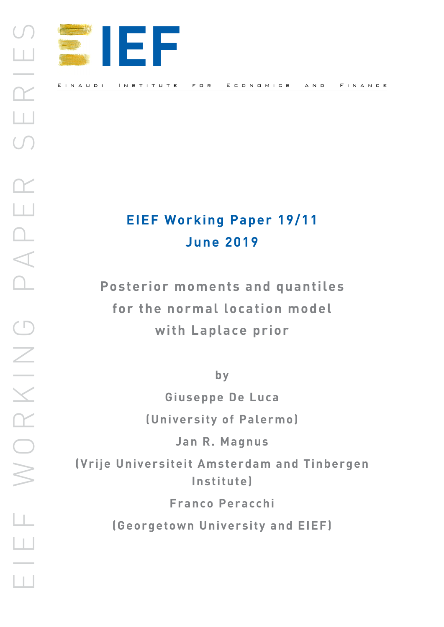

# **EIEF Working Paper 19/11 June 2019**

**Posterior moments and quantiles for the normal location model with Laplace prior**

**by Giuseppe De Luca (University of Palermo) Jan R. Magnus (Vrije Universiteit Amsterdam and Tinbergen Institute) Franco Peracchi (Georgetown University and EIEF)**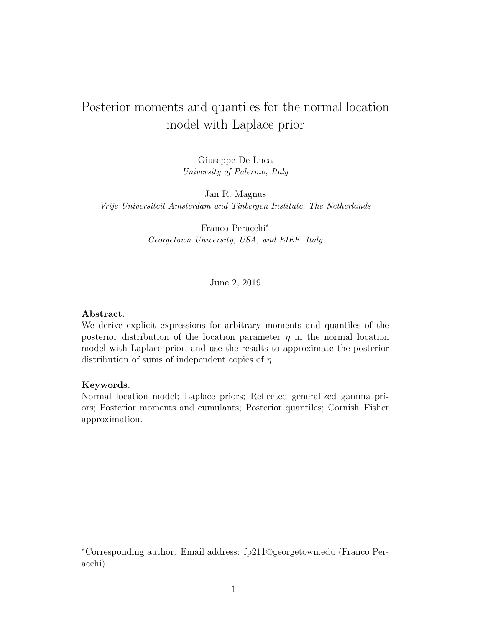# Posterior moments and quantiles for the normal location model with Laplace prior

Giuseppe De Luca University of Palermo, Italy

Jan R. Magnus Vrije Universiteit Amsterdam and Tinbergen Institute, The Netherlands

> Franco Peracchi<sup>∗</sup> Georgetown University, USA, and EIEF, Italy

> > June 2, 2019

#### Abstract.

We derive explicit expressions for arbitrary moments and quantiles of the posterior distribution of the location parameter  $\eta$  in the normal location model with Laplace prior, and use the results to approximate the posterior distribution of sums of independent copies of  $\eta$ .

#### Keywords.

Normal location model; Laplace priors; Reflected generalized gamma priors; Posterior moments and cumulants; Posterior quantiles; Cornish–Fisher approximation.

<sup>∗</sup>Corresponding author. Email address: fp211@georgetown.edu (Franco Peracchi).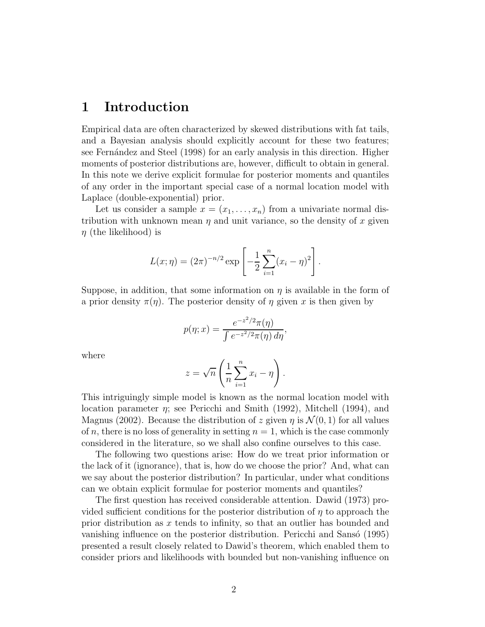#### 1 Introduction

Empirical data are often characterized by skewed distributions with fat tails, and a Bayesian analysis should explicitly account for these two features; see Fernández and Steel (1998) for an early analysis in this direction. Higher moments of posterior distributions are, however, difficult to obtain in general. In this note we derive explicit formulae for posterior moments and quantiles of any order in the important special case of a normal location model with Laplace (double-exponential) prior.

Let us consider a sample  $x = (x_1, \ldots, x_n)$  from a univariate normal distribution with unknown mean  $\eta$  and unit variance, so the density of x given  $\eta$  (the likelihood) is

$$
L(x; \eta) = (2\pi)^{-n/2} \exp \left[ -\frac{1}{2} \sum_{i=1}^{n} (x_i - \eta)^2 \right].
$$

Suppose, in addition, that some information on  $\eta$  is available in the form of a prior density  $\pi(\eta)$ . The posterior density of  $\eta$  given x is then given by

$$
p(\eta; x) = \frac{e^{-z^2/2}\pi(\eta)}{\int e^{-z^2/2}\pi(\eta) d\eta},
$$

where

$$
z = \sqrt{n} \left( \frac{1}{n} \sum_{i=1}^{n} x_i - \eta \right).
$$

This intriguingly simple model is known as the normal location model with location parameter  $\eta$ ; see Pericchi and Smith (1992), Mitchell (1994), and Magnus (2002). Because the distribution of z given  $\eta$  is  $\mathcal{N}(0, 1)$  for all values of n, there is no loss of generality in setting  $n = 1$ , which is the case commonly considered in the literature, so we shall also confine ourselves to this case.

The following two questions arise: How do we treat prior information or the lack of it (ignorance), that is, how do we choose the prior? And, what can we say about the posterior distribution? In particular, under what conditions can we obtain explicit formulae for posterior moments and quantiles?

The first question has received considerable attention. Dawid (1973) provided sufficient conditions for the posterior distribution of  $\eta$  to approach the prior distribution as x tends to infinity, so that an outlier has bounded and vanishing influence on the posterior distribution. Pericchi and Sanso (1995) presented a result closely related to Dawid's theorem, which enabled them to consider priors and likelihoods with bounded but non-vanishing influence on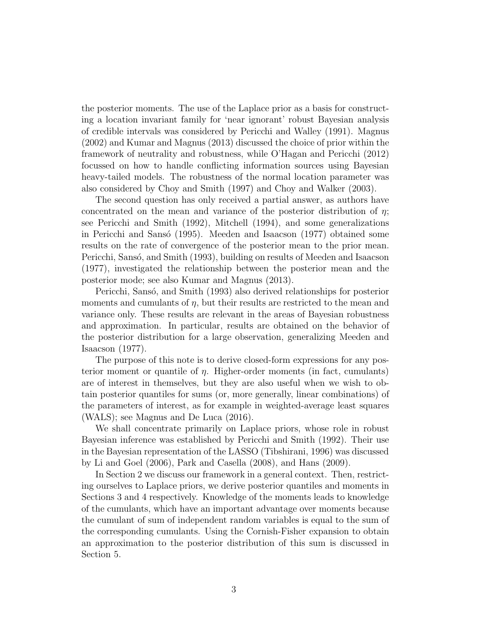the posterior moments. The use of the Laplace prior as a basis for constructing a location invariant family for 'near ignorant' robust Bayesian analysis of credible intervals was considered by Pericchi and Walley (1991). Magnus (2002) and Kumar and Magnus (2013) discussed the choice of prior within the framework of neutrality and robustness, while O'Hagan and Pericchi (2012) focussed on how to handle conflicting information sources using Bayesian heavy-tailed models. The robustness of the normal location parameter was also considered by Choy and Smith (1997) and Choy and Walker (2003).

The second question has only received a partial answer, as authors have concentrated on the mean and variance of the posterior distribution of  $\eta$ ; see Pericchi and Smith (1992), Mitchell (1994), and some generalizations in Pericchi and Sansó (1995). Meeden and Isaacson (1977) obtained some results on the rate of convergence of the posterior mean to the prior mean. Pericchi, Sansó, and Smith (1993), building on results of Meeden and Isaacson (1977), investigated the relationship between the posterior mean and the posterior mode; see also Kumar and Magnus (2013).

Pericchi, Sansó, and Smith (1993) also derived relationships for posterior moments and cumulants of  $\eta$ , but their results are restricted to the mean and variance only. These results are relevant in the areas of Bayesian robustness and approximation. In particular, results are obtained on the behavior of the posterior distribution for a large observation, generalizing Meeden and Isaacson (1977).

The purpose of this note is to derive closed-form expressions for any posterior moment or quantile of  $\eta$ . Higher-order moments (in fact, cumulants) are of interest in themselves, but they are also useful when we wish to obtain posterior quantiles for sums (or, more generally, linear combinations) of the parameters of interest, as for example in weighted-average least squares (WALS); see Magnus and De Luca (2016).

We shall concentrate primarily on Laplace priors, whose role in robust Bayesian inference was established by Pericchi and Smith (1992). Their use in the Bayesian representation of the LASSO (Tibshirani, 1996) was discussed by Li and Goel (2006), Park and Casella (2008), and Hans (2009).

In Section 2 we discuss our framework in a general context. Then, restricting ourselves to Laplace priors, we derive posterior quantiles and moments in Sections 3 and 4 respectively. Knowledge of the moments leads to knowledge of the cumulants, which have an important advantage over moments because the cumulant of sum of independent random variables is equal to the sum of the corresponding cumulants. Using the Cornish-Fisher expansion to obtain an approximation to the posterior distribution of this sum is discussed in Section 5.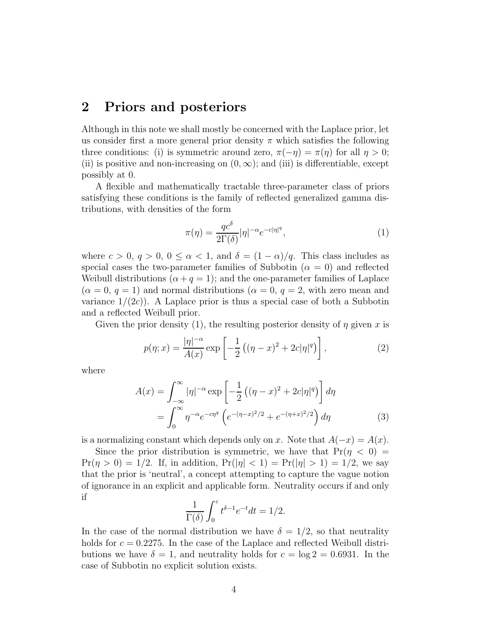## 2 Priors and posteriors

Although in this note we shall mostly be concerned with the Laplace prior, let us consider first a more general prior density  $\pi$  which satisfies the following three conditions: (i) is symmetric around zero,  $\pi(-\eta) = \pi(\eta)$  for all  $\eta > 0$ ; (ii) is positive and non-increasing on  $(0, \infty)$ ; and (iii) is differentiable, except possibly at 0.

A flexible and mathematically tractable three-parameter class of priors satisfying these conditions is the family of reflected generalized gamma distributions, with densities of the form

$$
\pi(\eta) = \frac{qc^{\delta}}{2\Gamma(\delta)} |\eta|^{-\alpha} e^{-c|\eta|^q},\tag{1}
$$

where  $c > 0$ ,  $q > 0$ ,  $0 \leq \alpha < 1$ , and  $\delta = (1 - \alpha)/q$ . This class includes as special cases the two-parameter families of Subbotin ( $\alpha = 0$ ) and reflected Weibull distributions  $(\alpha + q = 1)$ ; and the one-parameter families of Laplace  $(\alpha = 0, q = 1)$  and normal distributions  $(\alpha = 0, q = 2, \text{ with zero mean and})$ variance  $1/(2c)$ . A Laplace prior is thus a special case of both a Subbotin and a reflected Weibull prior.

Given the prior density (1), the resulting posterior density of  $\eta$  given x is

$$
p(\eta; x) = \frac{|\eta|^{-\alpha}}{A(x)} \exp\left[-\frac{1}{2}\left((\eta - x)^2 + 2c|\eta|^q\right)\right],
$$
 (2)

where

$$
A(x) = \int_{-\infty}^{\infty} |\eta|^{-\alpha} \exp\left[ -\frac{1}{2} \left( (\eta - x)^2 + 2c|\eta|^q \right) \right] d\eta
$$
  
= 
$$
\int_{0}^{\infty} \eta^{-\alpha} e^{-c\eta^q} \left( e^{-(\eta - x)^2/2} + e^{-(\eta + x)^2/2} \right) d\eta
$$
 (3)

is a normalizing constant which depends only on x. Note that  $A(-x) = A(x)$ .

Since the prior distribution is symmetric, we have that  $Pr(\eta < 0)$  $Pr(\eta > 0) = 1/2$ . If, in addition,  $Pr(|\eta| < 1) = Pr(|\eta| > 1) = 1/2$ , we say that the prior is 'neutral', a concept attempting to capture the vague notion of ignorance in an explicit and applicable form. Neutrality occurs if and only if

$$
\frac{1}{\Gamma(\delta)} \int_0^c t^{\delta - 1} e^{-t} dt = 1/2.
$$

In the case of the normal distribution we have  $\delta = 1/2$ , so that neutrality holds for  $c = 0.2275$ . In the case of the Laplace and reflected Weibull distributions we have  $\delta = 1$ , and neutrality holds for  $c = \log 2 = 0.6931$ . In the case of Subbotin no explicit solution exists.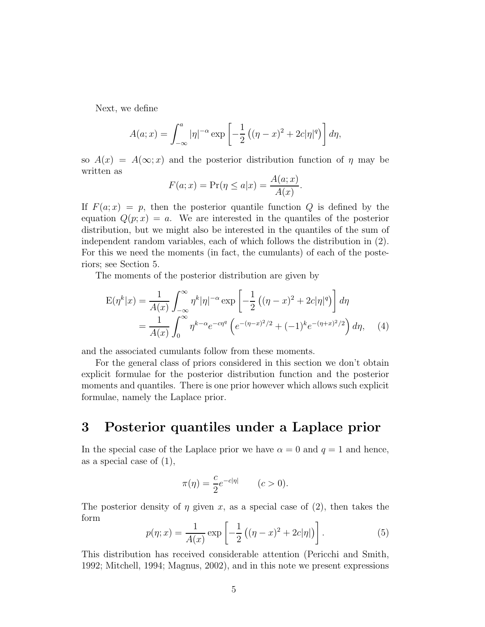Next, we define

$$
A(a;x) = \int_{-\infty}^{a} |\eta|^{-\alpha} \exp\left[-\frac{1}{2}\left((\eta - x)^2 + 2c|\eta|^q\right)\right] d\eta,
$$

so  $A(x) = A(\infty; x)$  and the posterior distribution function of  $\eta$  may be written as

$$
F(a; x) = \Pr(\eta \le a | x) = \frac{A(a; x)}{A(x)}.
$$

If  $F(a; x) = p$ , then the posterior quantile function Q is defined by the equation  $Q(p; x) = a$ . We are interested in the quantiles of the posterior distribution, but we might also be interested in the quantiles of the sum of independent random variables, each of which follows the distribution in (2). For this we need the moments (in fact, the cumulants) of each of the posteriors; see Section 5.

The moments of the posterior distribution are given by

$$
E(\eta^k|x) = \frac{1}{A(x)} \int_{-\infty}^{\infty} \eta^k |\eta|^{-\alpha} \exp\left[ -\frac{1}{2} \left( (\eta - x)^2 + 2c|\eta|^q \right) \right] d\eta
$$
  
= 
$$
\frac{1}{A(x)} \int_0^{\infty} \eta^{k-\alpha} e^{-c\eta^q} \left( e^{-(\eta - x)^2/2} + (-1)^k e^{-(\eta + x)^2/2} \right) d\eta,
$$
 (4)

and the associated cumulants follow from these moments.

For the general class of priors considered in this section we don't obtain explicit formulae for the posterior distribution function and the posterior moments and quantiles. There is one prior however which allows such explicit formulae, namely the Laplace prior.

#### 3 Posterior quantiles under a Laplace prior

In the special case of the Laplace prior we have  $\alpha = 0$  and  $q = 1$  and hence, as a special case of (1),

$$
\pi(\eta) = \frac{c}{2}e^{-c|\eta|} \qquad (c > 0).
$$

The posterior density of  $\eta$  given x, as a special case of (2), then takes the form

$$
p(\eta; x) = \frac{1}{A(x)} \exp \left[ -\frac{1}{2} \left( (\eta - x)^2 + 2c|\eta| \right) \right].
$$
 (5)

This distribution has received considerable attention (Pericchi and Smith, 1992; Mitchell, 1994; Magnus, 2002), and in this note we present expressions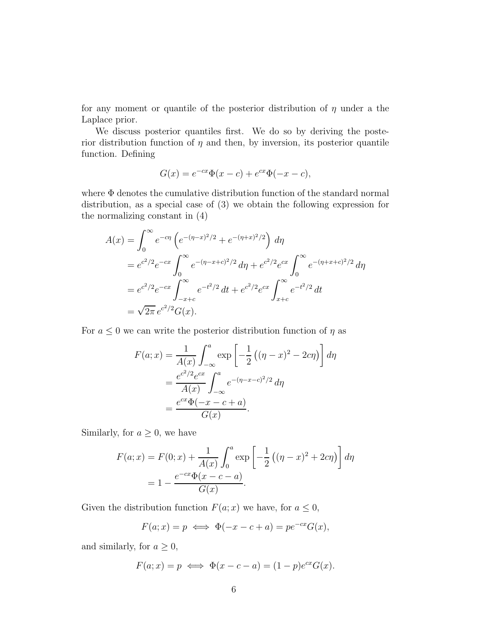for any moment or quantile of the posterior distribution of  $\eta$  under a the Laplace prior.

We discuss posterior quantiles first. We do so by deriving the posterior distribution function of  $\eta$  and then, by inversion, its posterior quantile function. Defining

$$
G(x) = e^{-cx} \Phi(x - c) + e^{cx} \Phi(-x - c),
$$

where Φ denotes the cumulative distribution function of the standard normal distribution, as a special case of (3) we obtain the following expression for the normalizing constant in (4)

$$
A(x) = \int_0^\infty e^{-c\eta} \left( e^{-(\eta - x)^2/2} + e^{-(\eta + x)^2/2} \right) d\eta
$$
  
\n
$$
= e^{c^2/2} e^{-cx} \int_0^\infty e^{-(\eta - x + c)^2/2} d\eta + e^{c^2/2} e^{cx} \int_0^\infty e^{-(\eta + x + c)^2/2} d\eta
$$
  
\n
$$
= e^{c^2/2} e^{-cx} \int_{-x + c}^\infty e^{-t^2/2} dt + e^{c^2/2} e^{cx} \int_{x + c}^\infty e^{-t^2/2} dt
$$
  
\n
$$
= \sqrt{2\pi} e^{c^2/2} G(x).
$$

For  $a \leq 0$  we can write the posterior distribution function of  $\eta$  as

$$
F(a; x) = \frac{1}{A(x)} \int_{-\infty}^{a} \exp\left[-\frac{1}{2}\left((\eta - x)^2 - 2c\eta\right)\right] d\eta
$$
  
= 
$$
\frac{e^{c^2/2}e^{cx}}{A(x)} \int_{-\infty}^{a} e^{-(\eta - x - c)^2/2} d\eta
$$
  
= 
$$
\frac{e^{cx}\Phi(-x - c + a)}{G(x)}.
$$

Similarly, for  $a \geq 0$ , we have

$$
F(a; x) = F(0; x) + \frac{1}{A(x)} \int_0^a \exp\left[-\frac{1}{2} ((\eta - x)^2 + 2c\eta)\right] d\eta
$$
  
=  $1 - \frac{e^{-cx}\Phi(x - c - a)}{G(x)}$ .

Given the distribution function  $F(a; x)$  we have, for  $a \leq 0$ ,

$$
F(a; x) = p \iff \Phi(-x - c + a) = p e^{-cx} G(x),
$$

and similarly, for  $a \geq 0$ ,

$$
F(a; x) = p \iff \Phi(x - c - a) = (1 - p)e^{cx}G(x).
$$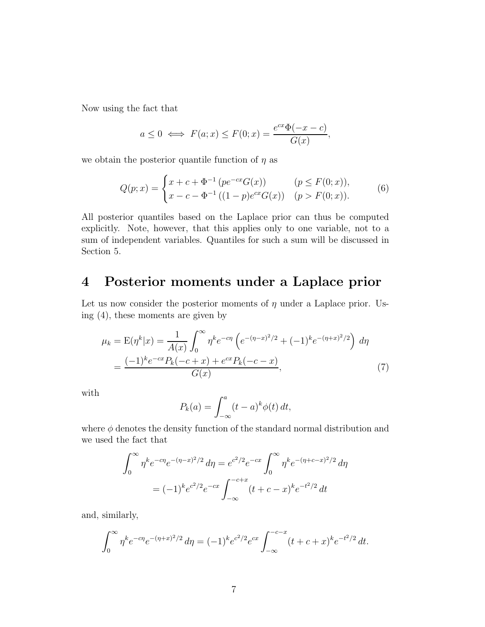Now using the fact that

$$
a \le 0 \iff F(a; x) \le F(0; x) = \frac{e^{cx}\Phi(-x - c)}{G(x)},
$$

we obtain the posterior quantile function of  $\eta$  as

$$
Q(p;x) = \begin{cases} x + c + \Phi^{-1} \left( p e^{-cx} G(x) \right) & (p \le F(0;x)), \\ x - c - \Phi^{-1} \left( (1-p) e^{cx} G(x) \right) & (p > F(0;x)). \end{cases}
$$
(6)

All posterior quantiles based on the Laplace prior can thus be computed explicitly. Note, however, that this applies only to one variable, not to a sum of independent variables. Quantiles for such a sum will be discussed in Section 5.

## 4 Posterior moments under a Laplace prior

Let us now consider the posterior moments of  $\eta$  under a Laplace prior. Using (4), these moments are given by

$$
\mu_k = \mathcal{E}(\eta^k | x) = \frac{1}{A(x)} \int_0^\infty \eta^k e^{-c\eta} \left( e^{-(\eta - x)^2/2} + (-1)^k e^{-(\eta + x)^2/2} \right) d\eta
$$

$$
= \frac{(-1)^k e^{-cx} P_k(-c+x) + e^{cx} P_k(-c-x)}{G(x)}, \tag{7}
$$

with

$$
P_k(a) = \int_{-\infty}^a (t-a)^k \phi(t) dt,
$$

where  $\phi$  denotes the density function of the standard normal distribution and we used the fact that

$$
\int_0^\infty \eta^k e^{-c\eta} e^{-(\eta - x)^2/2} d\eta = e^{c^2/2} e^{-cx} \int_0^\infty \eta^k e^{-(\eta + c - x)^2/2} d\eta
$$

$$
= (-1)^k e^{c^2/2} e^{-cx} \int_{-\infty}^{-c+x} (t + c - x)^k e^{-t^2/2} dt
$$

and, similarly,

$$
\int_0^\infty \eta^k e^{-c\eta} e^{-(\eta+x)^2/2} d\eta = (-1)^k e^{c^2/2} e^{cx} \int_{-\infty}^{-c-x} (t+c+x)^k e^{-t^2/2} dt.
$$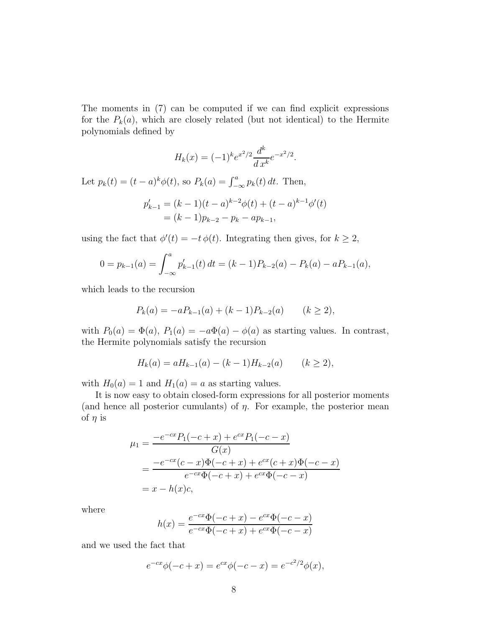The moments in (7) can be computed if we can find explicit expressions for the  $P_k(a)$ , which are closely related (but not identical) to the Hermite polynomials defined by

$$
H_k(x) = (-1)^k e^{x^2/2} \frac{d^k}{dx^k} e^{-x^2/2}.
$$

Let  $p_k(t) = (t - a)^k \phi(t)$ , so  $P_k(a) = \int_{-\infty}^a p_k(t) dt$ . Then,

$$
p'_{k-1} = (k-1)(t-a)^{k-2}\phi(t) + (t-a)^{k-1}\phi'(t)
$$
  
=  $(k-1)p_{k-2} - p_k - ap_{k-1},$ 

using the fact that  $\phi'(t) = -t \phi(t)$ . Integrating then gives, for  $k \geq 2$ ,

$$
0 = p_{k-1}(a) = \int_{-\infty}^{a} p'_{k-1}(t) dt = (k-1)P_{k-2}(a) - P_k(a) - aP_{k-1}(a),
$$

which leads to the recursion

$$
P_k(a) = -aP_{k-1}(a) + (k-1)P_{k-2}(a) \qquad (k \ge 2),
$$

with  $P_0(a) = \Phi(a), P_1(a) = -a\Phi(a) - \phi(a)$  as starting values. In contrast, the Hermite polynomials satisfy the recursion

$$
H_k(a) = aH_{k-1}(a) - (k-1)H_{k-2}(a) \qquad (k \ge 2),
$$

with  $H_0(a) = 1$  and  $H_1(a) = a$  as starting values.

It is now easy to obtain closed-form expressions for all posterior moments (and hence all posterior cumulants) of  $\eta$ . For example, the posterior mean of  $\eta$  is

$$
\mu_1 = \frac{-e^{-cx}P_1(-c+x) + e^{cx}P_1(-c-x)}{G(x)}
$$
  
= 
$$
\frac{-e^{-cx}(c-x)\Phi(-c+x) + e^{cx}(c+x)\Phi(-c-x)}{e^{-cx}\Phi(-c+x) + e^{cx}\Phi(-c-x)}
$$
  
=  $x - h(x)c$ ,

where

$$
h(x) = \frac{e^{-cx}\Phi(-c+x) - e^{cx}\Phi(-c-x)}{e^{-cx}\Phi(-c+x) + e^{cx}\Phi(-c-x)}
$$

and we used the fact that

$$
e^{-cx}\phi(-c+x) = e^{cx}\phi(-c-x) = e^{-c^2/2}\phi(x),
$$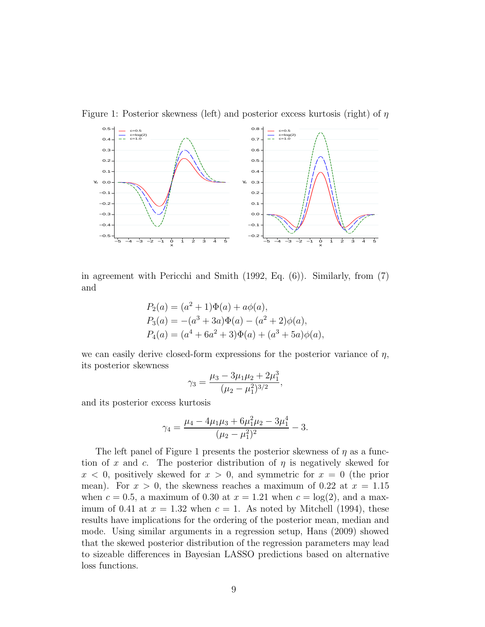

Figure 1: Posterior skewness (left) and posterior excess kurtosis (right) of  $\eta$ 

in agreement with Pericchi and Smith (1992, Eq. (6)). Similarly, from (7) and

$$
P_2(a) = (a^2 + 1)\Phi(a) + a\phi(a),
$$
  
\n
$$
P_3(a) = -(a^3 + 3a)\Phi(a) - (a^2 + 2)\phi(a),
$$
  
\n
$$
P_4(a) = (a^4 + 6a^2 + 3)\Phi(a) + (a^3 + 5a)\phi(a),
$$

we can easily derive closed-form expressions for the posterior variance of  $\eta$ , its posterior skewness

$$
\gamma_3 = \frac{\mu_3 - 3\mu_1\mu_2 + 2\mu_1^3}{(\mu_2 - \mu_1^2)^{3/2}},
$$

and its posterior excess kurtosis

$$
\gamma_4 = \frac{\mu_4 - 4\mu_1\mu_3 + 6\mu_1^2\mu_2 - 3\mu_1^4}{(\mu_2 - \mu_1^2)^2} - 3.
$$

The left panel of Figure 1 presents the posterior skewness of  $\eta$  as a function of x and c. The posterior distribution of  $\eta$  is negatively skewed for  $x < 0$ , positively skewed for  $x > 0$ , and symmetric for  $x = 0$  (the prior mean). For  $x > 0$ , the skewness reaches a maximum of 0.22 at  $x = 1.15$ when  $c = 0.5$ , a maximum of 0.30 at  $x = 1.21$  when  $c = \log(2)$ , and a maximum of 0.41 at  $x = 1.32$  when  $c = 1$ . As noted by Mitchell (1994), these results have implications for the ordering of the posterior mean, median and mode. Using similar arguments in a regression setup, Hans (2009) showed that the skewed posterior distribution of the regression parameters may lead to sizeable differences in Bayesian LASSO predictions based on alternative loss functions.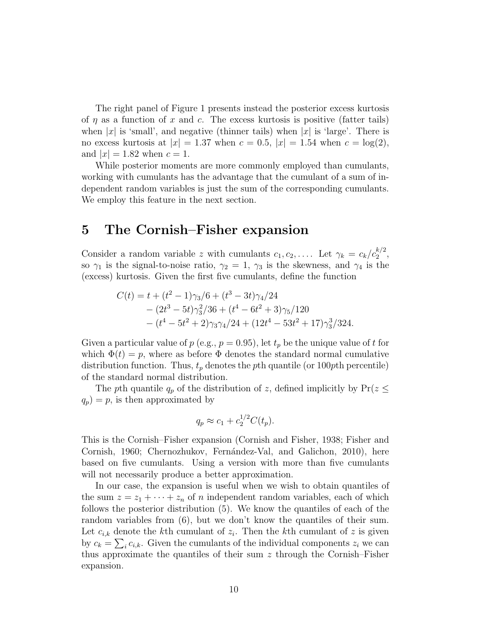The right panel of Figure 1 presents instead the posterior excess kurtosis of  $\eta$  as a function of x and c. The excess kurtosis is positive (fatter tails) when |x| is 'small', and negative (thinner tails) when |x| is 'large'. There is no excess kurtosis at  $|x| = 1.37$  when  $c = 0.5$ ,  $|x| = 1.54$  when  $c = \log(2)$ , and  $|x| = 1.82$  when  $c = 1$ .

While posterior moments are more commonly employed than cumulants, working with cumulants has the advantage that the cumulant of a sum of independent random variables is just the sum of the corresponding cumulants. We employ this feature in the next section.

#### 5 The Cornish–Fisher expansion

Consider a random variable z with cumulants  $c_1, c_2, \ldots$  Let  $\gamma_k = c_k/c_2^{k/2}$ , so  $\gamma_1$  is the signal-to-noise ratio,  $\gamma_2 = 1$ ,  $\gamma_3$  is the skewness, and  $\gamma_4$  is the (excess) kurtosis. Given the first five cumulants, define the function

$$
C(t) = t + (t2 - 1)\gamma_3/6 + (t3 - 3t)\gamma_4/24
$$
  
– (2t<sup>3</sup> - 5t)\gamma<sub>3</sub><sup>2</sup>/36 + (t<sup>4</sup> - 6t<sup>2</sup> + 3)\gamma\_5/120  
– (t<sup>4</sup> - 5t<sup>2</sup> + 2)\gamma\_3\gamma\_4/24 + (12t<sup>4</sup> - 53t<sup>2</sup> + 17)\gamma\_3<sup>3</sup>/324.

Given a particular value of  $p$  (e.g.,  $p = 0.95$ ), let  $t_p$  be the unique value of t for which  $\Phi(t) = p$ , where as before  $\Phi$  denotes the standard normal cumulative distribution function. Thus,  $t_p$  denotes the pth quantile (or 100pth percentile) of the standard normal distribution.

The pth quantile  $q_p$  of the distribution of z, defined implicitly by  $Pr(z \leq$  $q_p$ ) = p, is then approximated by

$$
q_p \approx c_1 + c_2^{1/2} C(t_p).
$$

This is the Cornish–Fisher expansion (Cornish and Fisher, 1938; Fisher and Cornish, 1960; Chernozhukov, Fernández-Val, and Galichon, 2010), here based on five cumulants. Using a version with more than five cumulants will not necessarily produce a better approximation.

In our case, the expansion is useful when we wish to obtain quantiles of the sum  $z = z_1 + \cdots + z_n$  of *n* independent random variables, each of which follows the posterior distribution (5). We know the quantiles of each of the random variables from (6), but we don't know the quantiles of their sum. Let  $c_{i,k}$  denote the k<sup>th</sup> cumulant of  $z_i$ . Then the k<sup>th</sup> cumulant of z is given by  $c_k = \sum_i c_{i,k}$ . Given the cumulants of the individual components  $z_i$  we can thus approximate the quantiles of their sum z through the Cornish–Fisher expansion.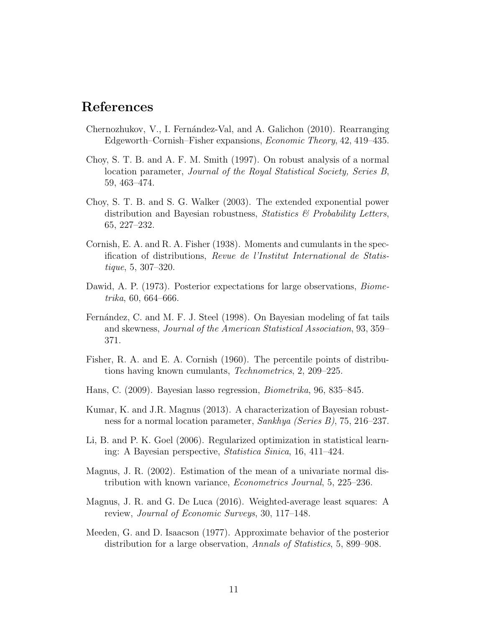## References

- Chernozhukov, V., I. Fernández-Val, and A. Galichon (2010). Rearranging Edgeworth–Cornish–Fisher expansions, Economic Theory, 42, 419–435.
- Choy, S. T. B. and A. F. M. Smith (1997). On robust analysis of a normal location parameter, Journal of the Royal Statistical Society, Series B, 59, 463–474.
- Choy, S. T. B. and S. G. Walker (2003). The extended exponential power distribution and Bayesian robustness, *Statistics*  $\mathcal{C}$  *Probability Letters*, 65, 227–232.
- Cornish, E. A. and R. A. Fisher (1938). Moments and cumulants in the specification of distributions, Revue de l'Institut International de Statistique, 5, 307–320.
- Dawid, A. P. (1973). Posterior expectations for large observations, *Biome*trika, 60, 664–666.
- Fernández, C. and M. F. J. Steel (1998). On Bayesian modeling of fat tails and skewness, Journal of the American Statistical Association, 93, 359– 371.
- Fisher, R. A. and E. A. Cornish (1960). The percentile points of distributions having known cumulants, Technometrics, 2, 209–225.
- Hans, C. (2009). Bayesian lasso regression, Biometrika, 96, 835–845.
- Kumar, K. and J.R. Magnus (2013). A characterization of Bayesian robustness for a normal location parameter, Sankhya (Series B), 75, 216–237.
- Li, B. and P. K. Goel (2006). Regularized optimization in statistical learning: A Bayesian perspective, Statistica Sinica, 16, 411–424.
- Magnus, J. R. (2002). Estimation of the mean of a univariate normal distribution with known variance, Econometrics Journal, 5, 225–236.
- Magnus, J. R. and G. De Luca (2016). Weighted-average least squares: A review, Journal of Economic Surveys, 30, 117–148.
- Meeden, G. and D. Isaacson (1977). Approximate behavior of the posterior distribution for a large observation, *Annals of Statistics*, 5, 899–908.